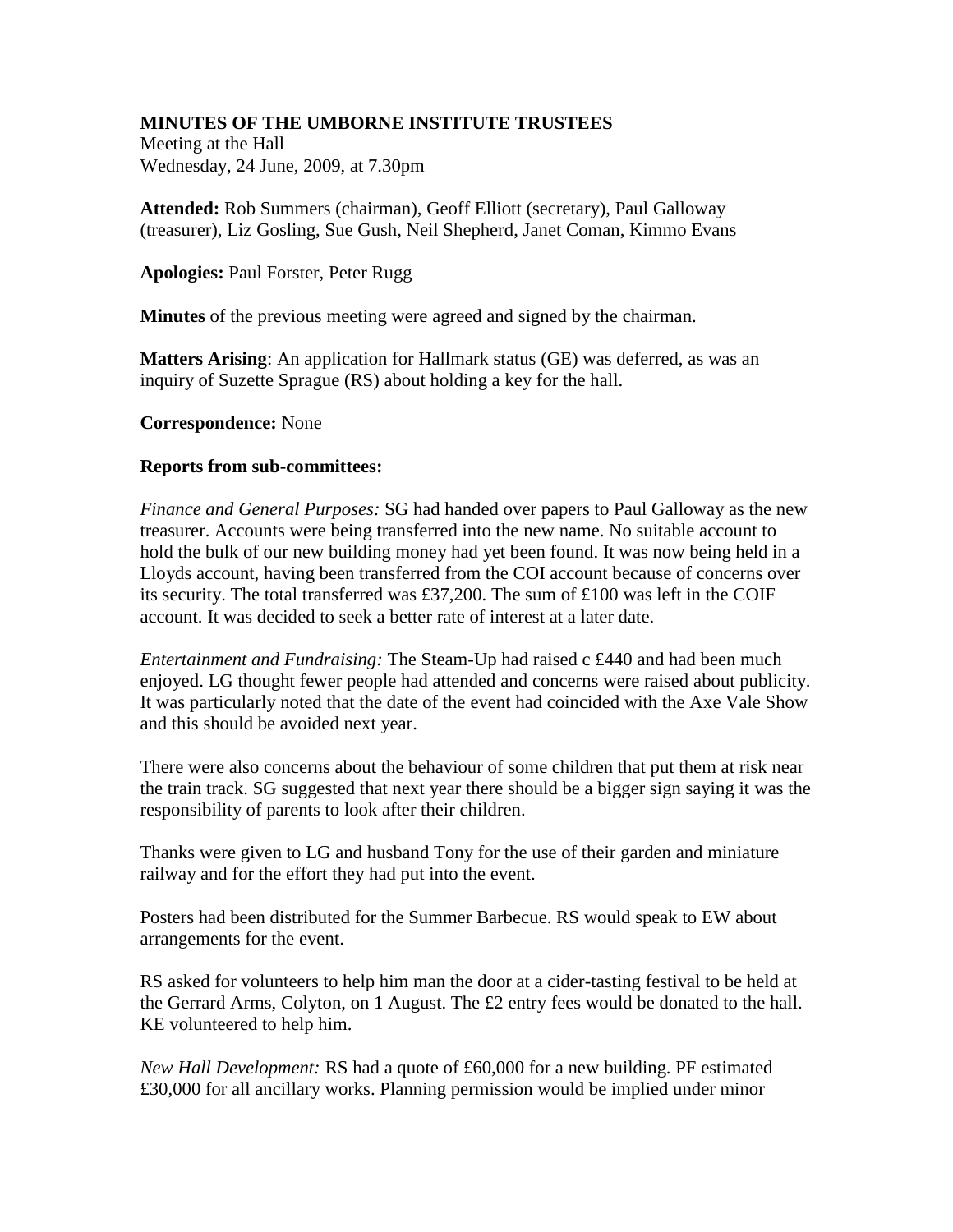## **MINUTES OF THE UMBORNE INSTITUTE TRUSTEES**

Meeting at the Hall Wednesday, 24 June, 2009, at 7.30pm

**Attended:** Rob Summers (chairman), Geoff Elliott (secretary), Paul Galloway (treasurer), Liz Gosling, Sue Gush, Neil Shepherd, Janet Coman, Kimmo Evans

**Apologies:** Paul Forster, Peter Rugg

**Minutes** of the previous meeting were agreed and signed by the chairman.

**Matters Arising**: An application for Hallmark status (GE) was deferred, as was an inquiry of Suzette Sprague (RS) about holding a key for the hall.

## **Correspondence:** None

## **Reports from sub-committees:**

*Finance and General Purposes:* SG had handed over papers to Paul Galloway as the new treasurer. Accounts were being transferred into the new name. No suitable account to hold the bulk of our new building money had yet been found. It was now being held in a Lloyds account, having been transferred from the COI account because of concerns over its security. The total transferred was £37,200. The sum of £100 was left in the COIF account. It was decided to seek a better rate of interest at a later date.

*Entertainment and Fundraising:* The Steam-Up had raised c £440 and had been much enjoyed. LG thought fewer people had attended and concerns were raised about publicity. It was particularly noted that the date of the event had coincided with the Axe Vale Show and this should be avoided next year.

There were also concerns about the behaviour of some children that put them at risk near the train track. SG suggested that next year there should be a bigger sign saying it was the responsibility of parents to look after their children.

Thanks were given to LG and husband Tony for the use of their garden and miniature railway and for the effort they had put into the event.

Posters had been distributed for the Summer Barbecue. RS would speak to EW about arrangements for the event.

RS asked for volunteers to help him man the door at a cider-tasting festival to be held at the Gerrard Arms, Colyton, on 1 August. The  $£2$  entry fees would be donated to the hall. KE volunteered to help him.

*New Hall Development:* RS had a quote of £60,000 for a new building. PF estimated £30,000 for all ancillary works. Planning permission would be implied under minor